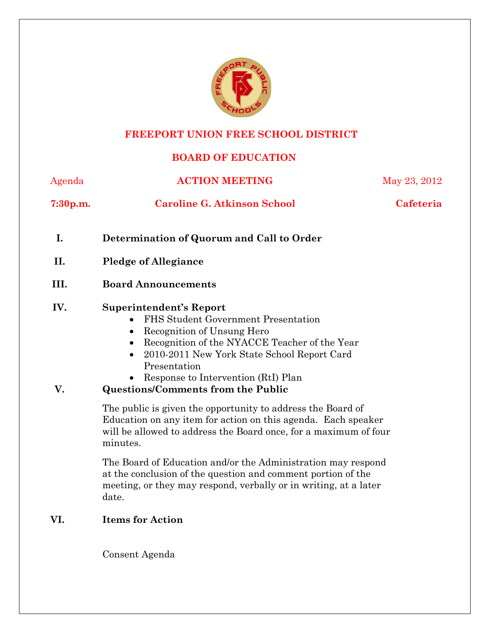

# **FREEPORT UNION FREE SCHOOL DISTRICT**

## **BOARD OF EDUCATION**

| Agenda               | <b>ACTION MEETING</b>                                                                                                                                                                                                                                                                                                                                       | May 23, 2012 |  |  |  |  |  |
|----------------------|-------------------------------------------------------------------------------------------------------------------------------------------------------------------------------------------------------------------------------------------------------------------------------------------------------------------------------------------------------------|--------------|--|--|--|--|--|
| 7:30 <sub>p.m.</sub> | <b>Caroline G. Atkinson School</b>                                                                                                                                                                                                                                                                                                                          | Cafeteria    |  |  |  |  |  |
| I.                   | Determination of Quorum and Call to Order                                                                                                                                                                                                                                                                                                                   |              |  |  |  |  |  |
| II.                  | <b>Pledge of Allegiance</b>                                                                                                                                                                                                                                                                                                                                 |              |  |  |  |  |  |
| III.                 | <b>Board Announcements</b>                                                                                                                                                                                                                                                                                                                                  |              |  |  |  |  |  |
| IV.<br>V.            | <b>Superintendent's Report</b><br>FHS Student Government Presentation<br>$\bullet$<br>Recognition of Unsung Hero<br>$\bullet$<br>Recognition of the NYACCE Teacher of the Year<br>$\bullet$<br>2010-2011 New York State School Report Card<br>$\bullet$<br>Presentation<br>Response to Intervention (RtI) Plan<br><b>Questions/Comments from the Public</b> |              |  |  |  |  |  |
|                      | The public is given the opportunity to address the Board of<br>Education on any item for action on this agenda. Each speaker<br>will be allowed to address the Board once, for a maximum of four<br>minutes.                                                                                                                                                |              |  |  |  |  |  |
|                      | The Board of Education and/or the Administration may respond<br>at the conclusion of the question and comment portion of the<br>meeting, or they may respond, verbally or in writing, at a later<br>date.                                                                                                                                                   |              |  |  |  |  |  |
| VI.                  | <b>Items for Action</b>                                                                                                                                                                                                                                                                                                                                     |              |  |  |  |  |  |

Consent Agenda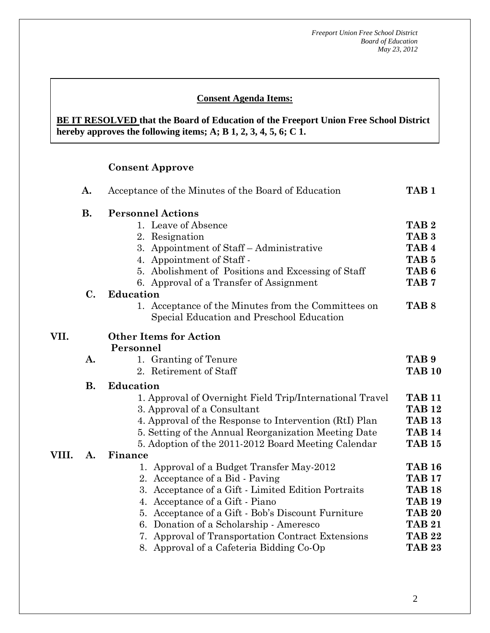## **Consent Agenda Items:**

#### *Acceptance of the Minutes*  $\mathbf{A}$ **BE IT RESOLVED that the Board of Education of the Freeport Union Free School District hereby approves the following items; A; B 1, 2, 3, 4, 5, 6; C 1.**

#### **Consent Approve**

 **AA. Consent - Approve** 

| VII.<br>VIII. | A.        | Acceptance of the Minutes of the Board of Education                                              |                  |  |  |  |  |  |  |
|---------------|-----------|--------------------------------------------------------------------------------------------------|------------------|--|--|--|--|--|--|
|               | <b>B.</b> | <b>Personnel Actions</b>                                                                         |                  |  |  |  |  |  |  |
|               |           | 1. Leave of Absence                                                                              | TAB <sub>2</sub> |  |  |  |  |  |  |
|               |           | 2. Resignation                                                                                   | TAB <sub>3</sub> |  |  |  |  |  |  |
|               |           | 3. Appointment of Staff – Administrative                                                         | TAB <sub>4</sub> |  |  |  |  |  |  |
|               |           | 4. Appointment of Staff -                                                                        | TAB <sub>5</sub> |  |  |  |  |  |  |
|               |           | 5. Abolishment of Positions and Excessing of Staff                                               | TAB <sub>6</sub> |  |  |  |  |  |  |
|               |           | 6. Approval of a Transfer of Assignment                                                          | TAB <sub>7</sub> |  |  |  |  |  |  |
|               | C.        | <b>Education</b>                                                                                 |                  |  |  |  |  |  |  |
|               |           | 1. Acceptance of the Minutes from the Committees on<br>Special Education and Preschool Education | TAB <sub>8</sub> |  |  |  |  |  |  |
|               |           | <b>Other Items for Action</b><br>Personnel                                                       |                  |  |  |  |  |  |  |
|               | A.        | 1. Granting of Tenure                                                                            | TAB 9            |  |  |  |  |  |  |
|               |           | 2. Retirement of Staff                                                                           | <b>TAB 10</b>    |  |  |  |  |  |  |
|               | <b>B.</b> | <b>Education</b>                                                                                 |                  |  |  |  |  |  |  |
|               |           | 1. Approval of Overnight Field Trip/International Travel                                         | <b>TAB 11</b>    |  |  |  |  |  |  |
|               |           | 3. Approval of a Consultant                                                                      | <b>TAB 12</b>    |  |  |  |  |  |  |
|               |           | 4. Approval of the Response to Intervention (RtI) Plan                                           | <b>TAB 13</b>    |  |  |  |  |  |  |
|               |           | 5. Setting of the Annual Reorganization Meeting Date                                             | <b>TAB 14</b>    |  |  |  |  |  |  |
|               |           | 5. Adoption of the 2011-2012 Board Meeting Calendar                                              | <b>TAB 15</b>    |  |  |  |  |  |  |
|               | A.        | Finance                                                                                          |                  |  |  |  |  |  |  |
|               |           | 1. Approval of a Budget Transfer May-2012                                                        | <b>TAB 16</b>    |  |  |  |  |  |  |
|               |           | 2. Acceptance of a Bid - Paving                                                                  | <b>TAB 17</b>    |  |  |  |  |  |  |
|               |           | 3. Acceptance of a Gift - Limited Edition Portraits                                              | <b>TAB 18</b>    |  |  |  |  |  |  |
|               |           | 4. Acceptance of a Gift - Piano                                                                  | <b>TAB 19</b>    |  |  |  |  |  |  |
|               |           | 5. Acceptance of a Gift - Bob's Discount Furniture                                               | <b>TAB 20</b>    |  |  |  |  |  |  |
|               |           | Donation of a Scholarship - Ameresco<br>6.                                                       | <b>TAB 21</b>    |  |  |  |  |  |  |
|               |           | 7. Approval of Transportation Contract Extensions                                                | <b>TAB 22</b>    |  |  |  |  |  |  |
|               |           | 8. Approval of a Cafeteria Bidding Co-Op                                                         | <b>TAB 23</b>    |  |  |  |  |  |  |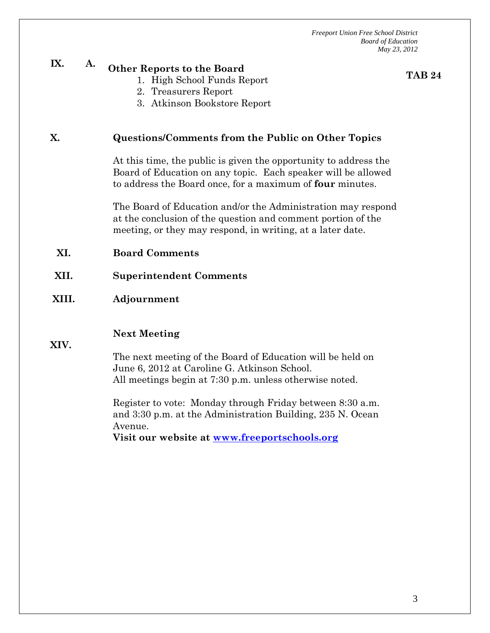# **IX. A. Other Reports to the Board**

1. High School Funds Report

**TAB 24**

- 2. Treasurers Report
- 3. Atkinson Bookstore Report

#### **X. Questions/Comments from the Public on Other Topics**

At this time, the public is given the opportunity to address the Board of Education on any topic. Each speaker will be allowed to address the Board once, for a maximum of **four** minutes.

The Board of Education and/or the Administration may respond at the conclusion of the question and comment portion of the meeting, or they may respond, in writing, at a later date.

- **XI. Board Comments**
- **XII. Superintendent Comments**

#### **XIII. Adjournment**

#### **Next Meeting**

**XIV.** 

The next meeting of the Board of Education will be held on June 6, 2012 at Caroline G. Atkinson School. All meetings begin at 7:30 p.m. unless otherwise noted.

Register to vote: Monday through Friday between 8:30 a.m. and 3:30 p.m. at the Administration Building, 235 N. Ocean Avenue.

**Visit our website at www.freeportschools.org**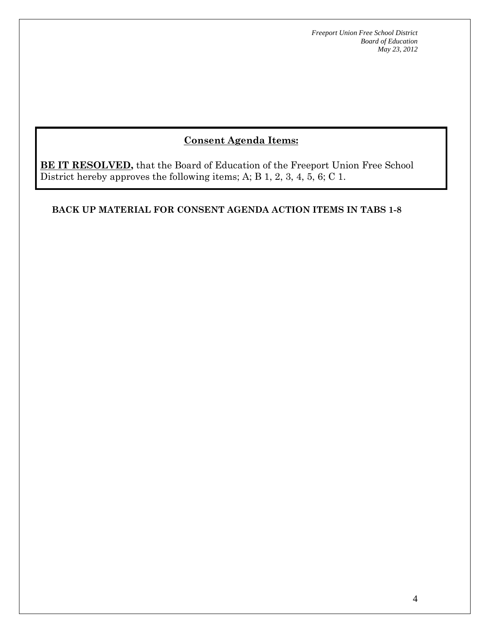## **Consent Agenda Items:**

**BE IT RESOLVED**, that the Board of Education of the Freeport Union Free School District hereby approves the following items; A; B 1, 2, 3, 4, 5, 6; C 1.

#### **BACK UP MATERIAL FOR CONSENT AGENDA ACTION ITEMS IN TABS 1-8**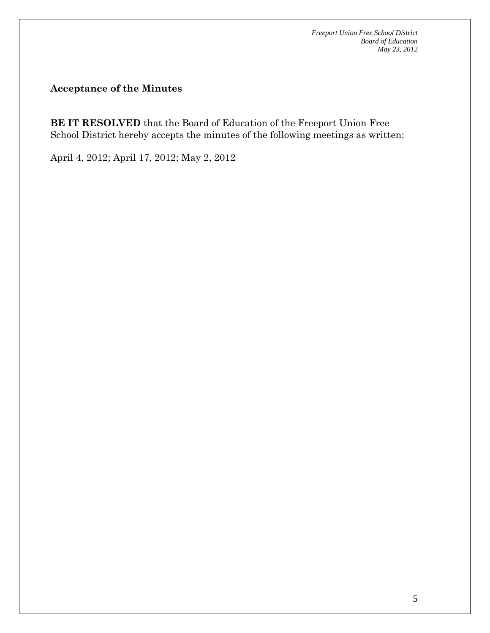**Acceptance of the Minutes** 

**BE IT RESOLVED** that the Board of Education of the Freeport Union Free School District hereby accepts the minutes of the following meetings as written:

April 4, 2012; April 17, 2012; May 2, 2012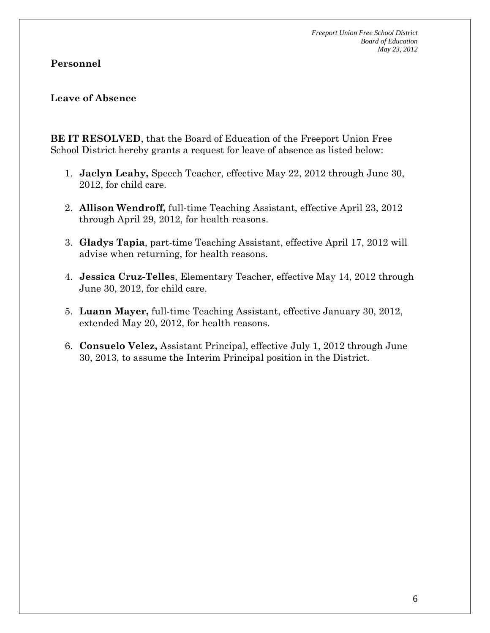#### **Personnel**

#### **Leave of Absence**

**BE IT RESOLVED**, that the Board of Education of the Freeport Union Free School District hereby grants a request for leave of absence as listed below:

- 1. **Jaclyn Leahy,** Speech Teacher, effective May 22, 2012 through June 30, 2012, for child care.
- 2. **Allison Wendroff,** full-time Teaching Assistant, effective April 23, 2012 through April 29, 2012, for health reasons.
- 3. **Gladys Tapia**, part-time Teaching Assistant, effective April 17, 2012 will advise when returning, for health reasons.
- 4. **Jessica Cruz-Telles**, Elementary Teacher, effective May 14, 2012 through June 30, 2012, for child care.
- 5. **Luann Mayer,** full-time Teaching Assistant, effective January 30, 2012, extended May 20, 2012, for health reasons.
- 6. **Consuelo Velez,** Assistant Principal, effective July 1, 2012 through June 30, 2013, to assume the Interim Principal position in the District.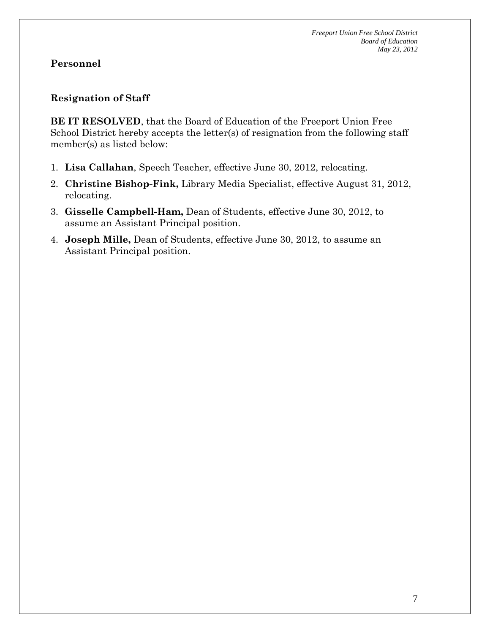## **Resignation of Staff**

**BE IT RESOLVED**, that the Board of Education of the Freeport Union Free School District hereby accepts the letter(s) of resignation from the following staff member(s) as listed below:

- 1. **Lisa Callahan**, Speech Teacher, effective June 30, 2012, relocating.
- 2. **Christine Bishop-Fink,** Library Media Specialist, effective August 31, 2012, relocating.
- 3. **Gisselle Campbell-Ham,** Dean of Students, effective June 30, 2012, to assume an Assistant Principal position.
- 4. **Joseph Mille,** Dean of Students, effective June 30, 2012, to assume an Assistant Principal position.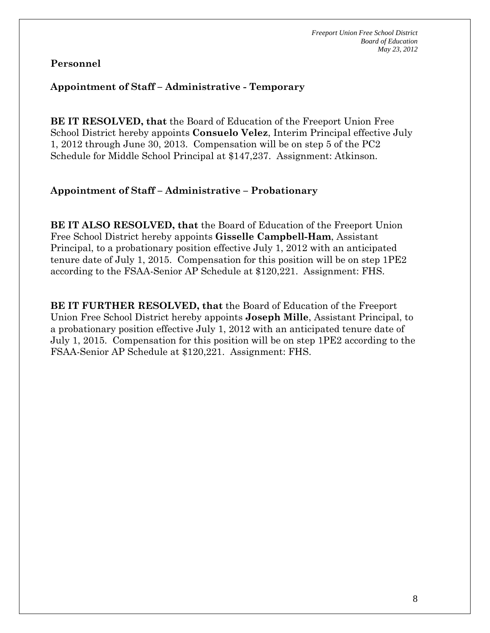#### **Appointment of Staff – Administrative - Temporary**

**BE IT RESOLVED, that** the Board of Education of the Freeport Union Free School District hereby appoints **Consuelo Velez**, Interim Principal effective July 1, 2012 through June 30, 2013. Compensation will be on step 5 of the PC2 Schedule for Middle School Principal at \$147,237. Assignment: Atkinson.

#### **Appointment of Staff – Administrative – Probationary**

**BE IT ALSO RESOLVED, that** the Board of Education of the Freeport Union Free School District hereby appoints **Gisselle Campbell-Ham**, Assistant Principal, to a probationary position effective July 1, 2012 with an anticipated tenure date of July 1, 2015. Compensation for this position will be on step 1PE2 according to the FSAA-Senior AP Schedule at \$120,221. Assignment: FHS.

**BE IT FURTHER RESOLVED, that** the Board of Education of the Freeport Union Free School District hereby appoints **Joseph Mille**, Assistant Principal, to a probationary position effective July 1, 2012 with an anticipated tenure date of July 1, 2015. Compensation for this position will be on step 1PE2 according to the FSAA-Senior AP Schedule at \$120,221. Assignment: FHS.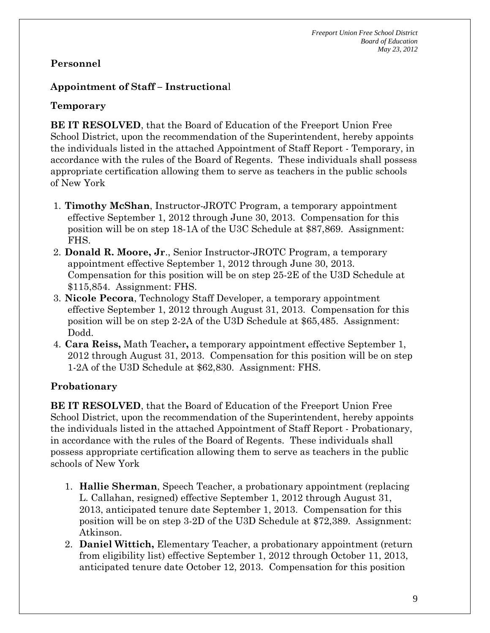## **Appointment of Staff – Instructiona**l

## **Temporary**

**BE IT RESOLVED**, that the Board of Education of the Freeport Union Free School District, upon the recommendation of the Superintendent, hereby appoints the individuals listed in the attached Appointment of Staff Report - Temporary, in accordance with the rules of the Board of Regents. These individuals shall possess appropriate certification allowing them to serve as teachers in the public schools of New York

- 1. **Timothy McShan**, Instructor-JROTC Program, a temporary appointment effective September 1, 2012 through June 30, 2013. Compensation for this position will be on step 18-1A of the U3C Schedule at \$87,869. Assignment: FHS.
- 2. **Donald R. Moore, Jr**., Senior Instructor-JROTC Program, a temporary appointment effective September 1, 2012 through June 30, 2013. Compensation for this position will be on step 25-2E of the U3D Schedule at \$115,854. Assignment: FHS.
- 3. **Nicole Pecora**, Technology Staff Developer, a temporary appointment effective September 1, 2012 through August 31, 2013. Compensation for this position will be on step 2-2A of the U3D Schedule at \$65,485. Assignment: Dodd.
- 4. **Cara Reiss,** Math Teacher**,** a temporary appointment effective September 1, 2012 through August 31, 2013. Compensation for this position will be on step 1-2A of the U3D Schedule at \$62,830. Assignment: FHS.

## **Probationary**

**BE IT RESOLVED**, that the Board of Education of the Freeport Union Free School District, upon the recommendation of the Superintendent, hereby appoints the individuals listed in the attached Appointment of Staff Report - Probationary, in accordance with the rules of the Board of Regents. These individuals shall possess appropriate certification allowing them to serve as teachers in the public schools of New York

- 1. **Hallie Sherman**, Speech Teacher, a probationary appointment (replacing L. Callahan, resigned) effective September 1, 2012 through August 31, 2013, anticipated tenure date September 1, 2013. Compensation for this position will be on step 3-2D of the U3D Schedule at \$72,389. Assignment: Atkinson.
- 2. **Daniel Wittich,** Elementary Teacher, a probationary appointment (return from eligibility list) effective September 1, 2012 through October 11, 2013, anticipated tenure date October 12, 2013. Compensation for this position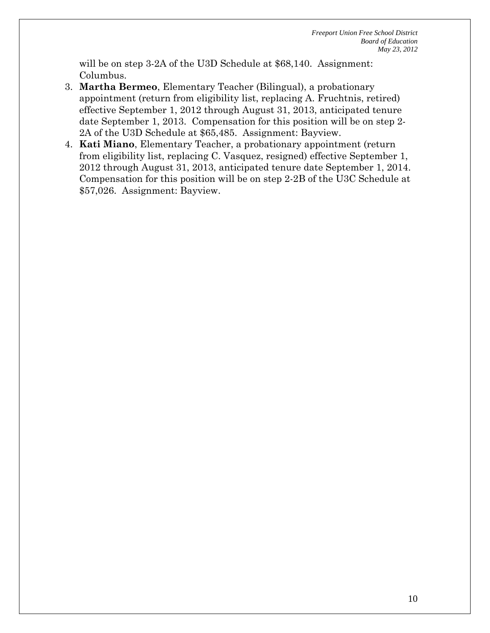will be on step 3-2A of the U3D Schedule at \$68,140. Assignment: Columbus.

- 3. **Martha Bermeo**, Elementary Teacher (Bilingual), a probationary appointment (return from eligibility list, replacing A. Fruchtnis, retired) effective September 1, 2012 through August 31, 2013, anticipated tenure date September 1, 2013. Compensation for this position will be on step 2- 2A of the U3D Schedule at \$65,485. Assignment: Bayview.
- 4. **Kati Miano**, Elementary Teacher, a probationary appointment (return from eligibility list, replacing C. Vasquez, resigned) effective September 1, 2012 through August 31, 2013, anticipated tenure date September 1, 2014. Compensation for this position will be on step 2-2B of the U3C Schedule at \$57,026. Assignment: Bayview.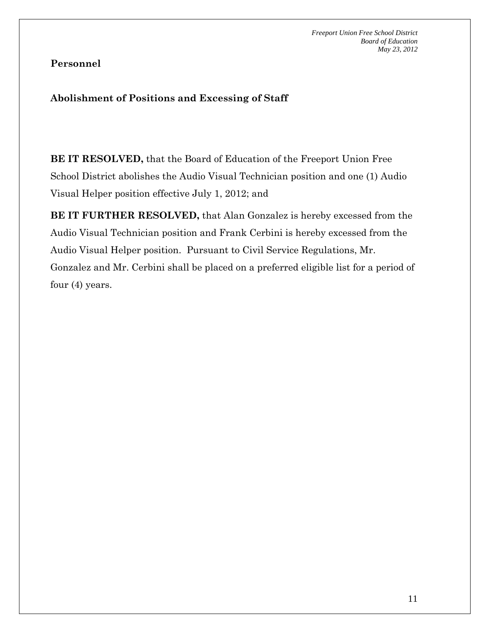## **Abolishment of Positions and Excessing of Staff**

**BE IT RESOLVED,** that the Board of Education of the Freeport Union Free School District abolishes the Audio Visual Technician position and one (1) Audio Visual Helper position effective July 1, 2012; and

**BE IT FURTHER RESOLVED,** that Alan Gonzalez is hereby excessed from the Audio Visual Technician position and Frank Cerbini is hereby excessed from the Audio Visual Helper position. Pursuant to Civil Service Regulations, Mr. Gonzalez and Mr. Cerbini shall be placed on a preferred eligible list for a period of four (4) years.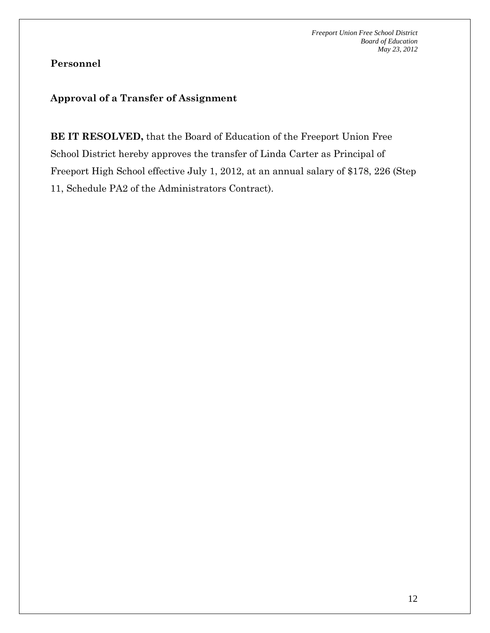## **Personnel**

## **Approval of a Transfer of Assignment**

**BE IT RESOLVED,** that the Board of Education of the Freeport Union Free School District hereby approves the transfer of Linda Carter as Principal of Freeport High School effective July 1, 2012, at an annual salary of \$178, 226 (Step 11, Schedule PA2 of the Administrators Contract).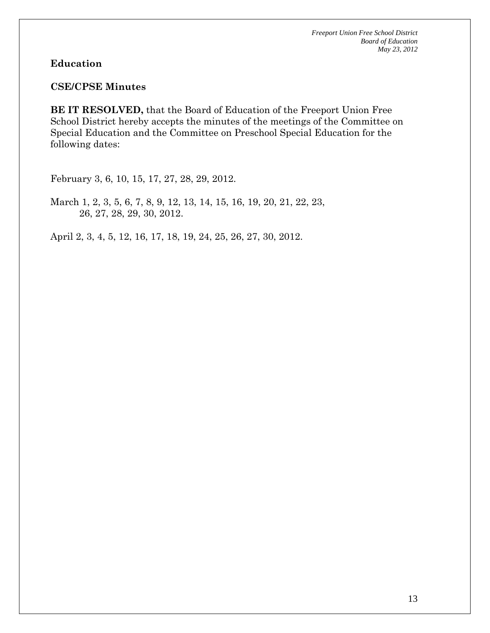#### **Education**

#### **CSE/CPSE Minutes**

**BE IT RESOLVED,** that the Board of Education of the Freeport Union Free School District hereby accepts the minutes of the meetings of the Committee on Special Education and the Committee on Preschool Special Education for the following dates:

February 3, 6, 10, 15, 17, 27, 28, 29, 2012.

March 1, 2, 3, 5, 6, 7, 8, 9, 12, 13, 14, 15, 16, 19, 20, 21, 22, 23, 26, 27, 28, 29, 30, 2012.

April 2, 3, 4, 5, 12, 16, 17, 18, 19, 24, 25, 26, 27, 30, 2012.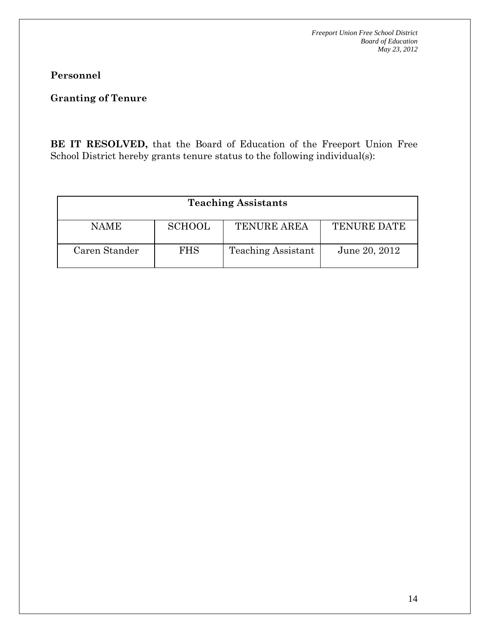## **Personnel**

## **Granting of Tenure**

**BE IT RESOLVED,** that the Board of Education of the Freeport Union Free School District hereby grants tenure status to the following individual(s):

| <b>Teaching Assistants</b> |               |                           |                    |  |  |
|----------------------------|---------------|---------------------------|--------------------|--|--|
| <b>NAME</b>                | <b>SCHOOL</b> | <b>TENURE AREA</b>        | <b>TENURE DATE</b> |  |  |
| Caren Stander              | <b>FHS</b>    | <b>Teaching Assistant</b> | June 20, 2012      |  |  |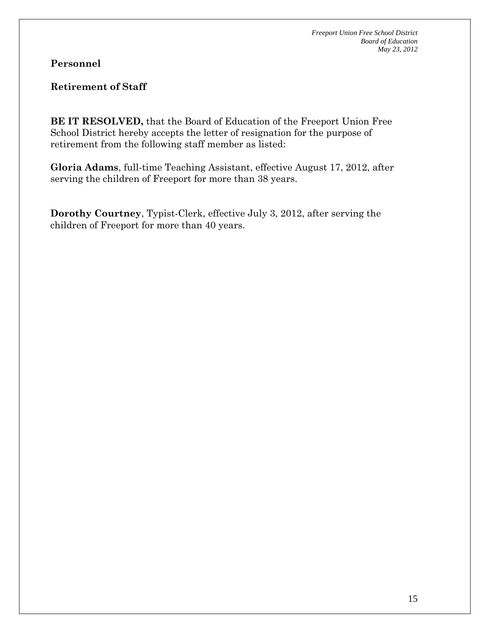**Personnel** 

**Retirement of Staff** 

**BE IT RESOLVED,** that the Board of Education of the Freeport Union Free School District hereby accepts the letter of resignation for the purpose of retirement from the following staff member as listed:

**Gloria Adams**, full-time Teaching Assistant, effective August 17, 2012, after serving the children of Freeport for more than 38 years.

**Dorothy Courtney**, Typist-Clerk, effective July 3, 2012, after serving the children of Freeport for more than 40 years.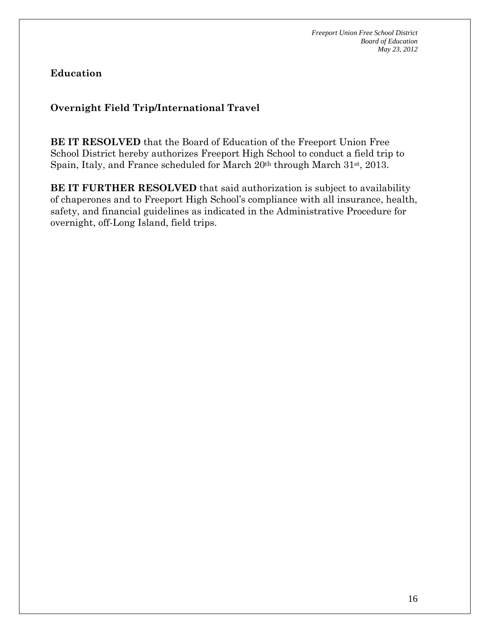**Education** 

## **Overnight Field Trip/International Travel**

**BE IT RESOLVED** that the Board of Education of the Freeport Union Free School District hereby authorizes Freeport High School to conduct a field trip to Spain, Italy, and France scheduled for March 20<sup>th</sup> through March 31<sup>st</sup>, 2013.

**BE IT FURTHER RESOLVED** that said authorization is subject to availability of chaperones and to Freeport High School's compliance with all insurance, health, safety, and financial guidelines as indicated in the Administrative Procedure for overnight, off-Long Island, field trips.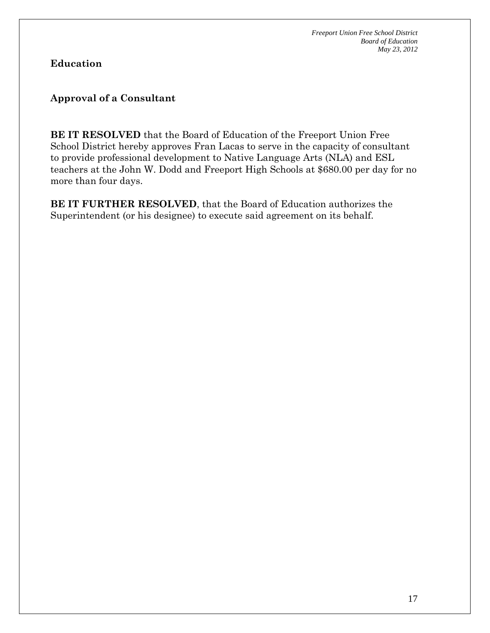**Education** 

## **Approval of a Consultant**

**BE IT RESOLVED** that the Board of Education of the Freeport Union Free School District hereby approves Fran Lacas to serve in the capacity of consultant to provide professional development to Native Language Arts (NLA) and ESL teachers at the John W. Dodd and Freeport High Schools at \$680.00 per day for no more than four days.

**BE IT FURTHER RESOLVED**, that the Board of Education authorizes the Superintendent (or his designee) to execute said agreement on its behalf.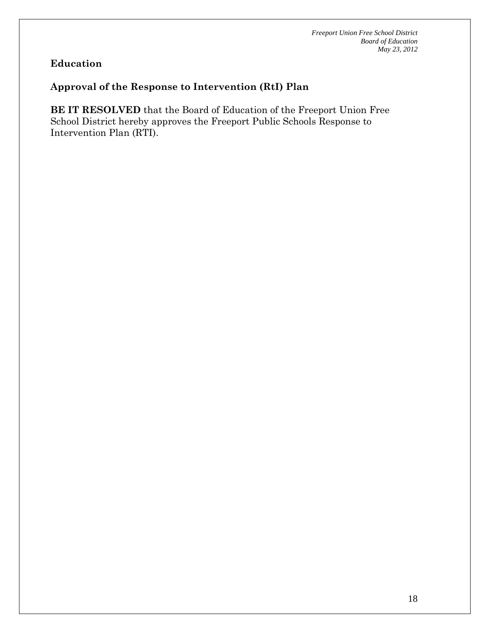## **Education**

### **Approval of the Response to Intervention (RtI) Plan**

**BE IT RESOLVED** that the Board of Education of the Freeport Union Free School District hereby approves the Freeport Public Schools Response to Intervention Plan (RTI).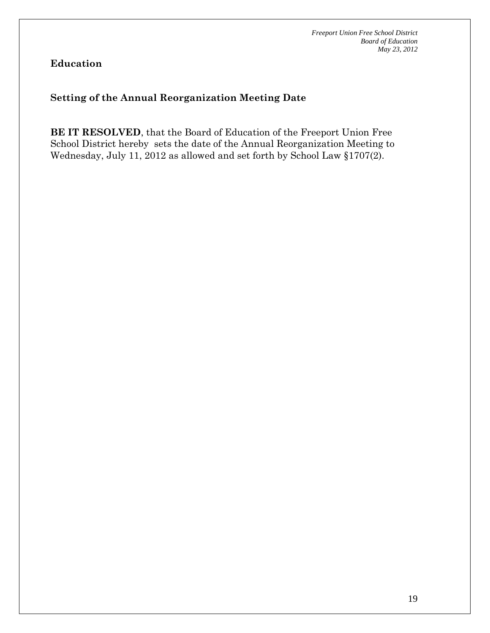**Education** 

## **Setting of the Annual Reorganization Meeting Date**

**BE IT RESOLVED**, that the Board of Education of the Freeport Union Free School District hereby sets the date of the Annual Reorganization Meeting to Wednesday, July 11, 2012 as allowed and set forth by School Law §1707(2).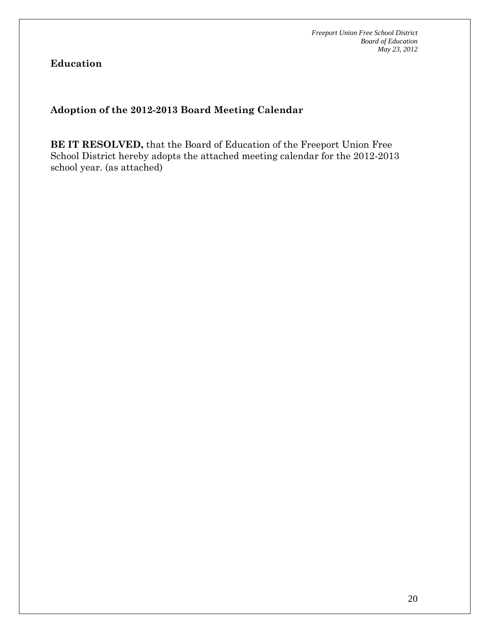**Education** 

## **Adoption of the 2012-2013 Board Meeting Calendar**

**BE IT RESOLVED,** that the Board of Education of the Freeport Union Free School District hereby adopts the attached meeting calendar for the 2012-2013 school year. (as attached)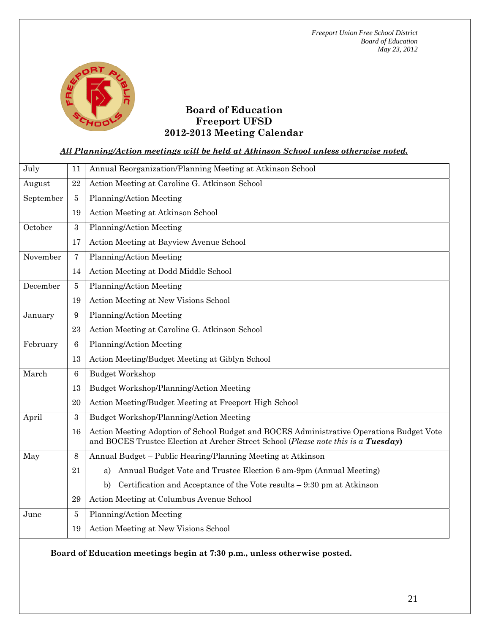

#### **Board of Education Freeport UFSD 2012-2013 Meeting Calendar**

#### *All Planning/Action meetings will be held at Atkinson School unless otherwise noted.*

| July      | 11               | Annual Reorganization/Planning Meeting at Atkinson School                                                                                                                      |
|-----------|------------------|--------------------------------------------------------------------------------------------------------------------------------------------------------------------------------|
| August    | 22               | Action Meeting at Caroline G. Atkinson School                                                                                                                                  |
| September | $\overline{5}$   | Planning/Action Meeting                                                                                                                                                        |
|           | 19               | Action Meeting at Atkinson School                                                                                                                                              |
| October   | $\sqrt{3}$       | Planning/Action Meeting                                                                                                                                                        |
|           | 17               | Action Meeting at Bayview Avenue School                                                                                                                                        |
| November  | $\overline{7}$   | Planning/Action Meeting                                                                                                                                                        |
|           | 14               | Action Meeting at Dodd Middle School                                                                                                                                           |
| December  | 5                | Planning/Action Meeting                                                                                                                                                        |
|           | 19               | Action Meeting at New Visions School                                                                                                                                           |
| January   | $9\phantom{.0}$  | Planning/Action Meeting                                                                                                                                                        |
|           | 23               | Action Meeting at Caroline G. Atkinson School                                                                                                                                  |
| February  | $\,6\,$          | Planning/Action Meeting                                                                                                                                                        |
|           | 13               | Action Meeting/Budget Meeting at Giblyn School                                                                                                                                 |
| March     | 6                | <b>Budget Workshop</b>                                                                                                                                                         |
|           | 13               | Budget Workshop/Planning/Action Meeting                                                                                                                                        |
|           | 20               | Action Meeting/Budget Meeting at Freeport High School                                                                                                                          |
| April     | $\boldsymbol{3}$ | Budget Workshop/Planning/Action Meeting                                                                                                                                        |
|           | 16               | Action Meeting Adoption of School Budget and BOCES Administrative Operations Budget Vote<br>and BOCES Trustee Election at Archer Street School (Please note this is a Tuesday) |
| May       | $8\,$            | Annual Budget – Public Hearing/Planning Meeting at Atkinson                                                                                                                    |
|           | 21               | Annual Budget Vote and Trustee Election 6 am-9pm (Annual Meeting)<br>a)                                                                                                        |
|           |                  | Certification and Acceptance of the Vote results $-9:30$ pm at Atkinson<br>b)                                                                                                  |
|           | 29               | Action Meeting at Columbus Avenue School                                                                                                                                       |
| June      | 5                | Planning/Action Meeting                                                                                                                                                        |
|           | 19               | Action Meeting at New Visions School                                                                                                                                           |

**Board of Education meetings begin at 7:30 p.m., unless otherwise posted.**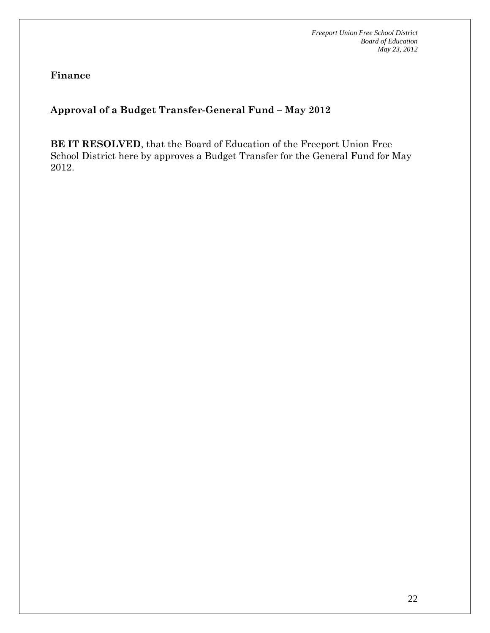**Finance** 

## **Approval of a Budget Transfer-General Fund – May 2012**

**BE IT RESOLVED**, that the Board of Education of the Freeport Union Free School District here by approves a Budget Transfer for the General Fund for May 2012.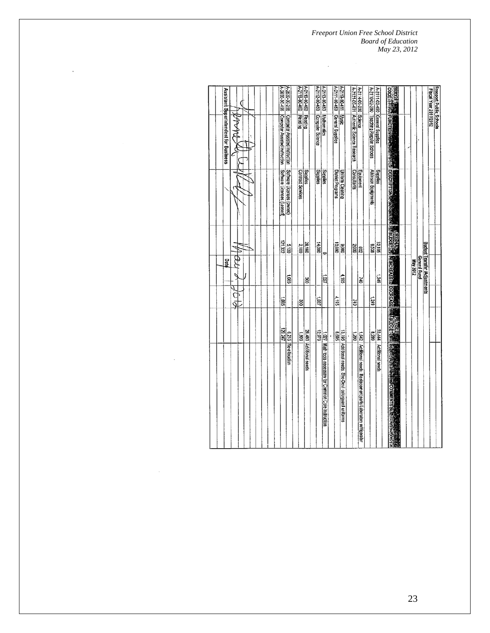ï

| б                                                | A-2630-00-256<br>A-2630-00-455                                 | A-2116-00-450<br>A-2116-00-400       | A-2112-00-450<br>4-2113-00-450                         | A-2111-09453<br>A-2119-00-411                   | A-2114-00-200 Science                                       | A-2111-02-450 General Supplies         | <b>122</b><br><b>123</b><br><b>129008</b> |                                                                        | Freeport Public Schools<br>Fiscal Year 2011/2012 |
|--------------------------------------------------|----------------------------------------------------------------|--------------------------------------|--------------------------------------------------------|-------------------------------------------------|-------------------------------------------------------------|----------------------------------------|-------------------------------------------|------------------------------------------------------------------------|--------------------------------------------------|
| Assistant Superintendent for Business<br>NA<br>₹ | Computer Assisted Instruction<br>Computer Assisted Instruction | Reading<br>Reading                   | Mathematics<br><b>Computer Science</b>                 | General Supplies<br><b>Husic</b>                | A-2121-00-401 Authentic Science Research                    | A-2110-02-200 Teaching Regular Schools | FUNCTION PARTICIPATION                    |                                                                        |                                                  |
|                                                  | Software Licenses (Leased<br>Software Licenses (cwned)         | <b>Supplies</b><br>Contract Services | Sailes<br><b>Supplies</b>                              | <b>District Programs</b><br>Uniform Cleaning    | Consultants<br>Equipment                                    | Alkinson Equipments<br><b>Supplies</b> | DESCRIPTION ROTATION                      |                                                                        |                                                  |
|                                                  | 121,332<br>061.90                                              | 28,160<br>2,100                      | 00011<br>o                                             | 08801<br>000'6                                  | 2,000<br>208                                                | 32,195<br>8238                         | <b>MORGERS</b>                            |                                                                        |                                                  |
| \$<br>Date                                       | $580^{\circ}$                                                  | 80                                   | 120                                                    | $\frac{1}{95}$                                  | ð                                                           | <b>S#2</b> 1                           | <b>MINGREASERS DECREASE</b>               | Budget Transfer (Adjustments<br><b>General Fund</b><br><b>May 2012</b> |                                                  |
| C<br>ğ                                           | 5801                                                           | 8                                    | 1201                                                   | 4,195                                           | č                                                           | 6121                                   |                                           |                                                                        |                                                  |
|                                                  | 120,247                                                        | 608                                  | 12,973                                                 | 13,195<br><b>G699</b>                           | 0821<br>382                                                 | 6329                                   | <b>Extending</b>                          |                                                                        |                                                  |
|                                                  | 6,215 Re-alocation                                             | 28,460 Additional needs              | 1,027 Math tools necessary for Common Core Instruction | Additional needs: She-Devil colorguard uniforms | Additional needs: Replacement parts Laboratory refrigerator | 33,444 Additional needs                | <b>ASSESSINE MY COMMUNICATED</b>          |                                                                        |                                                  |

l,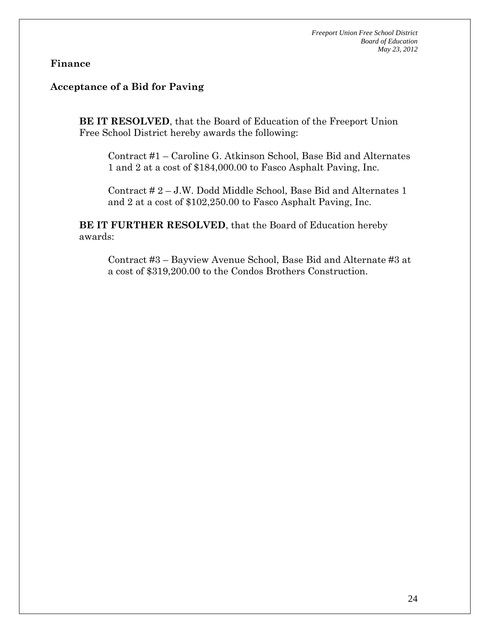#### **Acceptance of a Bid for Paving**

**BE IT RESOLVED**, that the Board of Education of the Freeport Union Free School District hereby awards the following:

Contract #1 – Caroline G. Atkinson School, Base Bid and Alternates 1 and 2 at a cost of \$184,000.00 to Fasco Asphalt Paving, Inc.

Contract # 2 – J.W. Dodd Middle School, Base Bid and Alternates 1 and 2 at a cost of \$102,250.00 to Fasco Asphalt Paving, Inc.

**BE IT FURTHER RESOLVED**, that the Board of Education hereby awards:

Contract #3 – Bayview Avenue School, Base Bid and Alternate #3 at a cost of \$319,200.00 to the Condos Brothers Construction.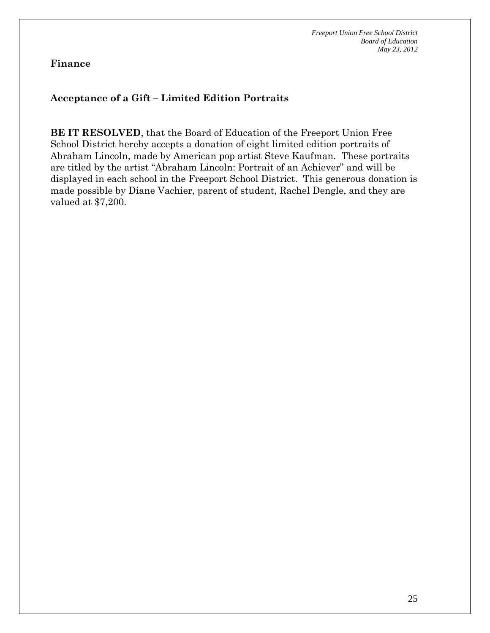#### **Acceptance of a Gift – Limited Edition Portraits**

**BE IT RESOLVED**, that the Board of Education of the Freeport Union Free School District hereby accepts a donation of eight limited edition portraits of Abraham Lincoln, made by American pop artist Steve Kaufman. These portraits are titled by the artist "Abraham Lincoln: Portrait of an Achiever" and will be displayed in each school in the Freeport School District. This generous donation is made possible by Diane Vachier, parent of student, Rachel Dengle, and they are valued at \$7,200.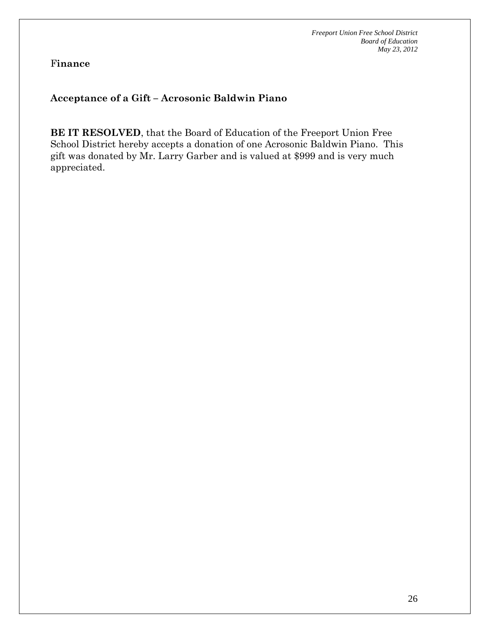### **Acceptance of a Gift – Acrosonic Baldwin Piano**

**BE IT RESOLVED**, that the Board of Education of the Freeport Union Free School District hereby accepts a donation of one Acrosonic Baldwin Piano. This gift was donated by Mr. Larry Garber and is valued at \$999 and is very much appreciated.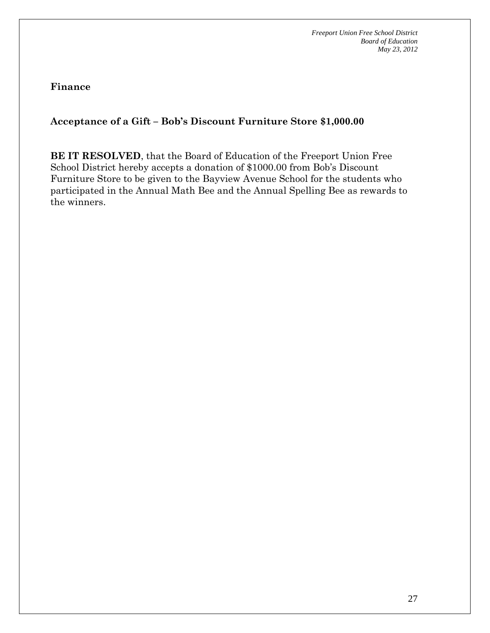**Finance** 

**Acceptance of a Gift – Bob's Discount Furniture Store \$1,000.00** 

**BE IT RESOLVED**, that the Board of Education of the Freeport Union Free School District hereby accepts a donation of \$1000.00 from Bob's Discount Furniture Store to be given to the Bayview Avenue School for the students who participated in the Annual Math Bee and the Annual Spelling Bee as rewards to the winners.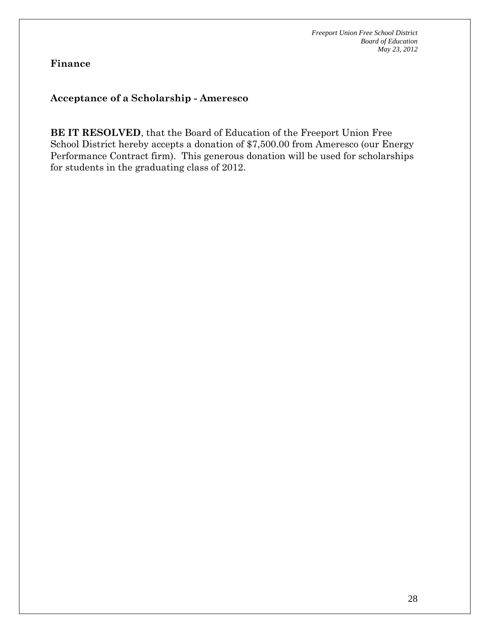### **Acceptance of a Scholarship - Ameresco**

**BE IT RESOLVED**, that the Board of Education of the Freeport Union Free School District hereby accepts a donation of \$7,500.00 from Ameresco (our Energy Performance Contract firm). This generous donation will be used for scholarships for students in the graduating class of 2012.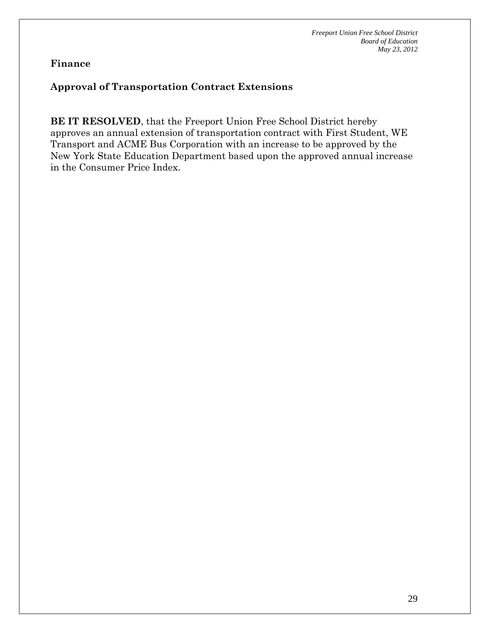### **Approval of Transportation Contract Extensions**

**BE IT RESOLVED**, that the Freeport Union Free School District hereby approves an annual extension of transportation contract with First Student, WE Transport and ACME Bus Corporation with an increase to be approved by the New York State Education Department based upon the approved annual increase in the Consumer Price Index.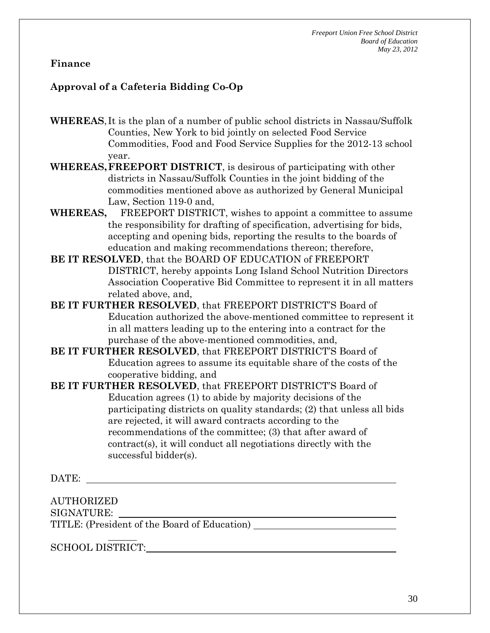## **Approval of a Cafeteria Bidding Co-Op**

**WHEREAS**, It is the plan of a number of public school districts in Nassau/Suffolk Counties, New York to bid jointly on selected Food Service Commodities, Food and Food Service Supplies for the 2012-13 school year.

**WHEREAS, FREEPORT DISTRICT**, is desirous of participating with other districts in Nassau/Suffolk Counties in the joint bidding of the commodities mentioned above as authorized by General Municipal Law, Section 119-0 and,

**WHEREAS,** FREEPORT DISTRICT, wishes to appoint a committee to assume the responsibility for drafting of specification, advertising for bids, accepting and opening bids, reporting the results to the boards of education and making recommendations thereon; therefore,

**BE IT RESOLVED**, that the BOARD OF EDUCATION of FREEPORT DISTRICT, hereby appoints Long Island School Nutrition Directors Association Cooperative Bid Committee to represent it in all matters related above, and,

**BE IT FURTHER RESOLVED**, that FREEPORT DISTRICT'S Board of Education authorized the above-mentioned committee to represent it in all matters leading up to the entering into a contract for the purchase of the above-mentioned commodities, and,

**BE IT FURTHER RESOLVED**, that FREEPORT DISTRICT'S Board of Education agrees to assume its equitable share of the costs of the cooperative bidding, and

**BE IT FURTHER RESOLVED**, that FREEPORT DISTRICT'S Board of Education agrees (1) to abide by majority decisions of the participating districts on quality standards; (2) that unless all bids are rejected, it will award contracts according to the recommendations of the committee; (3) that after award of contract(s), it will conduct all negotiations directly with the successful bidder(s).

DATE:

AUTHORIZED SIGNATURE:

TITLE: (President of the Board of Education)

SCHOOL DISTRICT: